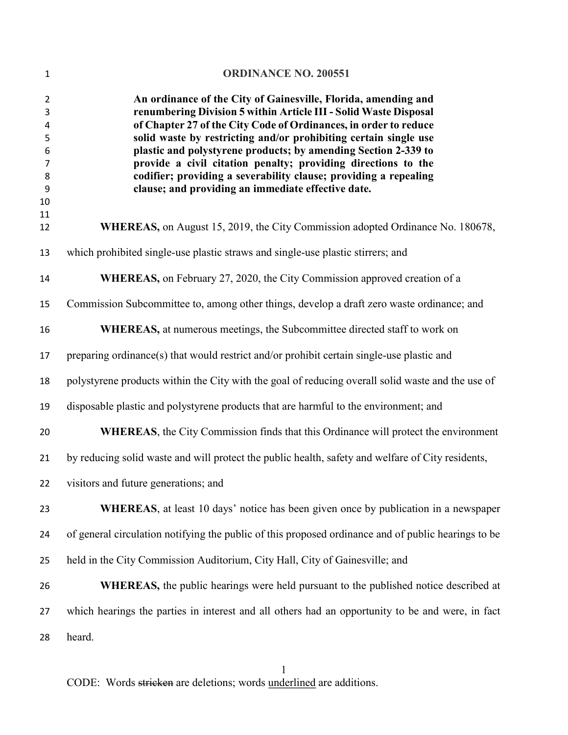| $\mathbf{1}$                                                  | <b>ORDINANCE NO. 200551</b>                                                                                                                                                                                                                                                                                                                                                                                                                                                                                                             |
|---------------------------------------------------------------|-----------------------------------------------------------------------------------------------------------------------------------------------------------------------------------------------------------------------------------------------------------------------------------------------------------------------------------------------------------------------------------------------------------------------------------------------------------------------------------------------------------------------------------------|
| 2<br>3<br>4<br>5<br>6<br>$\overline{7}$<br>8<br>9<br>10<br>11 | An ordinance of the City of Gainesville, Florida, amending and<br>renumbering Division 5 within Article III - Solid Waste Disposal<br>of Chapter 27 of the City Code of Ordinances, in order to reduce<br>solid waste by restricting and/or prohibiting certain single use<br>plastic and polystyrene products; by amending Section 2-339 to<br>provide a civil citation penalty; providing directions to the<br>codifier; providing a severability clause; providing a repealing<br>clause; and providing an immediate effective date. |
| 12                                                            | <b>WHEREAS</b> , on August 15, 2019, the City Commission adopted Ordinance No. 180678,                                                                                                                                                                                                                                                                                                                                                                                                                                                  |
| 13                                                            | which prohibited single-use plastic straws and single-use plastic stirrers; and                                                                                                                                                                                                                                                                                                                                                                                                                                                         |
| 14                                                            | WHEREAS, on February 27, 2020, the City Commission approved creation of a                                                                                                                                                                                                                                                                                                                                                                                                                                                               |
| 15                                                            | Commission Subcommittee to, among other things, develop a draft zero waste ordinance; and                                                                                                                                                                                                                                                                                                                                                                                                                                               |
| 16                                                            | <b>WHEREAS</b> , at numerous meetings, the Subcommittee directed staff to work on                                                                                                                                                                                                                                                                                                                                                                                                                                                       |
| 17                                                            | preparing ordinance(s) that would restrict and/or prohibit certain single-use plastic and                                                                                                                                                                                                                                                                                                                                                                                                                                               |
| 18                                                            | polystyrene products within the City with the goal of reducing overall solid waste and the use of                                                                                                                                                                                                                                                                                                                                                                                                                                       |
| 19                                                            | disposable plastic and polystyrene products that are harmful to the environment; and                                                                                                                                                                                                                                                                                                                                                                                                                                                    |
| 20                                                            | <b>WHEREAS</b> , the City Commission finds that this Ordinance will protect the environment                                                                                                                                                                                                                                                                                                                                                                                                                                             |
| 21                                                            | by reducing solid waste and will protect the public health, safety and welfare of City residents,                                                                                                                                                                                                                                                                                                                                                                                                                                       |
|                                                               | 22 visitors and future generations; and                                                                                                                                                                                                                                                                                                                                                                                                                                                                                                 |
| 23                                                            | <b>WHEREAS</b> , at least 10 days' notice has been given once by publication in a newspaper                                                                                                                                                                                                                                                                                                                                                                                                                                             |
| 24                                                            | of general circulation notifying the public of this proposed ordinance and of public hearings to be                                                                                                                                                                                                                                                                                                                                                                                                                                     |
| 25                                                            | held in the City Commission Auditorium, City Hall, City of Gainesville; and                                                                                                                                                                                                                                                                                                                                                                                                                                                             |
| 26                                                            | <b>WHEREAS</b> , the public hearings were held pursuant to the published notice described at                                                                                                                                                                                                                                                                                                                                                                                                                                            |
| 27                                                            | which hearings the parties in interest and all others had an opportunity to be and were, in fact                                                                                                                                                                                                                                                                                                                                                                                                                                        |
| 28                                                            | heard.                                                                                                                                                                                                                                                                                                                                                                                                                                                                                                                                  |
|                                                               |                                                                                                                                                                                                                                                                                                                                                                                                                                                                                                                                         |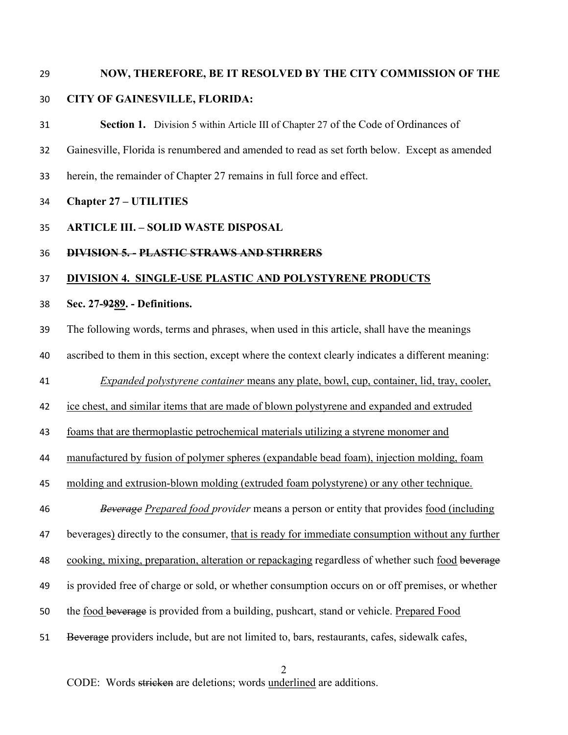#### NOW, THEREFORE, BE IT RESOLVED BY THE CITY COMMISSION OF THE

### CITY OF GAINESVILLE, FLORIDA:

Section 1. Division 5 within Article III of Chapter 27 of the Code of Ordinances of Gainesville, Florida is renumbered and amended to read as set forth below. Except as amended herein, the remainder of Chapter 27 remains in full force and effect.

### Chapter 27 – UTILITIES

# ARTICLE III. – SOLID WASTE DISPOSAL

### DIVISION 5. - PLASTIC STRAWS AND STIRRERS

# DIVISION 4. SINGLE-USE PLASTIC AND POLYSTYRENE PRODUCTS

## Sec. 27-9289. - Definitions.

The following words, terms and phrases, when used in this article, shall have the meanings

ascribed to them in this section, except where the context clearly indicates a different meaning:

Expanded polystyrene container means any plate, bowl, cup, container, lid, tray, cooler,

ice chest, and similar items that are made of blown polystyrene and expanded and extruded

foams that are thermoplastic petrochemical materials utilizing a styrene monomer and

manufactured by fusion of polymer spheres (expandable bead foam), injection molding, foam

molding and extrusion-blown molding (extruded foam polystyrene) or any other technique.

46 Beverage Prepared food provider means a person or entity that provides food (including

beverages) directly to the consumer, that is ready for immediate consumption without any further

48 cooking, mixing, preparation, alteration or repackaging regardless of whether such food beverage

- is provided free of charge or sold, or whether consumption occurs on or off premises, or whether
- the food beverage is provided from a building, pushcart, stand or vehicle. Prepared Food
- Beverage providers include, but are not limited to, bars, restaurants, cafes, sidewalk cafes,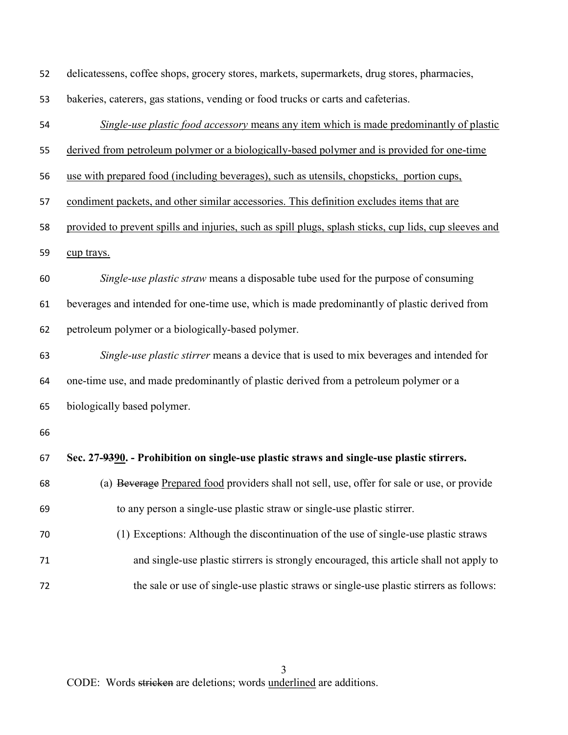| 52 | delicatessens, coffee shops, grocery stores, markets, supermarkets, drug stores, pharmacies,           |
|----|--------------------------------------------------------------------------------------------------------|
| 53 | bakeries, caterers, gas stations, vending or food trucks or carts and cafeterias.                      |
| 54 | Single-use plastic food accessory means any item which is made predominantly of plastic                |
| 55 | derived from petroleum polymer or a biologically-based polymer and is provided for one-time            |
| 56 | use with prepared food (including beverages), such as utensils, chopsticks, portion cups,              |
| 57 | condiment packets, and other similar accessories. This definition excludes items that are              |
| 58 | provided to prevent spills and injuries, such as spill plugs, splash sticks, cup lids, cup sleeves and |
| 59 | cup trays.                                                                                             |
| 60 | Single-use plastic straw means a disposable tube used for the purpose of consuming                     |
| 61 | beverages and intended for one-time use, which is made predominantly of plastic derived from           |
| 62 | petroleum polymer or a biologically-based polymer.                                                     |
| 63 | Single-use plastic stirrer means a device that is used to mix beverages and intended for               |
| 64 | one-time use, and made predominantly of plastic derived from a petroleum polymer or a                  |
| 65 | biologically based polymer.                                                                            |
| 66 |                                                                                                        |
| 67 | Sec. 27-9390. - Prohibition on single-use plastic straws and single-use plastic stirrers.              |
| 68 | (a) Beverage Prepared food providers shall not sell, use, offer for sale or use, or provide            |
| 69 | to any person a single-use plastic straw or single-use plastic stirrer.                                |
| 70 | (1) Exceptions: Although the discontinuation of the use of single-use plastic straws                   |
| 71 | and single-use plastic stirrers is strongly encouraged, this article shall not apply to                |
| 72 | the sale or use of single-use plastic straws or single-use plastic stirrers as follows:                |
|    |                                                                                                        |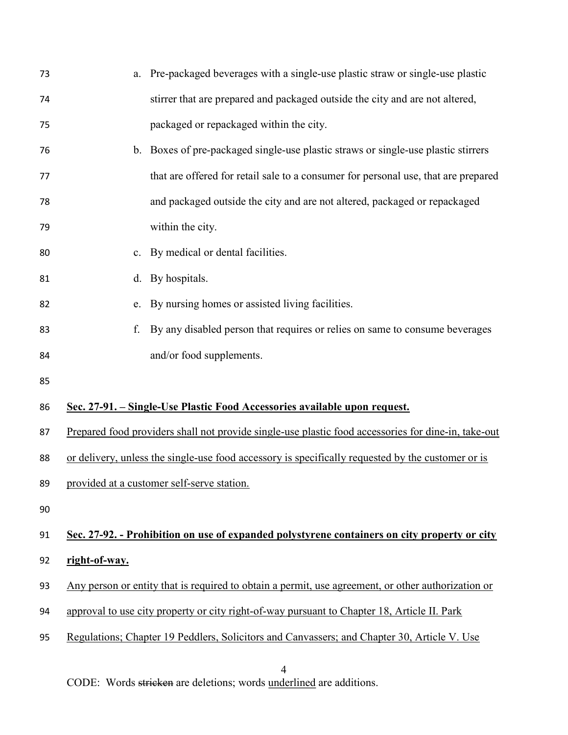| 73 | Pre-packaged beverages with a single-use plastic straw or single-use plastic<br>a.                  |  |
|----|-----------------------------------------------------------------------------------------------------|--|
| 74 | stirrer that are prepared and packaged outside the city and are not altered,                        |  |
| 75 | packaged or repackaged within the city.                                                             |  |
| 76 | b. Boxes of pre-packaged single-use plastic straws or single-use plastic stirrers                   |  |
| 77 | that are offered for retail sale to a consumer for personal use, that are prepared                  |  |
| 78 | and packaged outside the city and are not altered, packaged or repackaged                           |  |
| 79 | within the city.                                                                                    |  |
| 80 | c. By medical or dental facilities.                                                                 |  |
| 81 | d. By hospitals.                                                                                    |  |
| 82 | By nursing homes or assisted living facilities.<br>e.                                               |  |
| 83 | By any disabled person that requires or relies on same to consume beverages<br>f.                   |  |
| 84 | and/or food supplements.                                                                            |  |
| 85 |                                                                                                     |  |
| 86 | Sec. 27-91. – Single-Use Plastic Food Accessories available upon request.                           |  |
| 87 | Prepared food providers shall not provide single-use plastic food accessories for dine-in, take-out |  |
| 88 | or delivery, unless the single-use food accessory is specifically requested by the customer or is   |  |
| 89 | provided at a customer self-serve station.                                                          |  |
| 90 |                                                                                                     |  |
| 91 | Sec. 27-92. - Prohibition on use of expanded polystyrene containers on city property or city        |  |
| 92 | right-of-way.                                                                                       |  |
| 93 | Any person or entity that is required to obtain a permit, use agreement, or other authorization or  |  |
| 94 | approval to use city property or city right-of-way pursuant to Chapter 18, Article II. Park         |  |
| 95 | Regulations; Chapter 19 Peddlers, Solicitors and Canvassers; and Chapter 30, Article V. Use         |  |
|    | $\overline{4}$                                                                                      |  |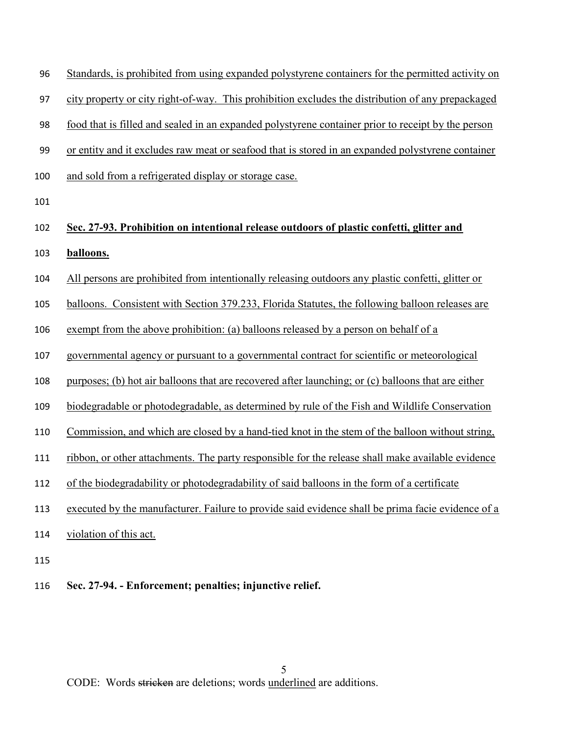| 96 Standards, is prohibited from using expanded polystyrene containers for the permitted activity on |  |  |  |  |  |  |  |  |
|------------------------------------------------------------------------------------------------------|--|--|--|--|--|--|--|--|
|                                                                                                      |  |  |  |  |  |  |  |  |

city property or city right-of-way. This prohibition excludes the distribution of any prepackaged

food that is filled and sealed in an expanded polystyrene container prior to receipt by the person

or entity and it excludes raw meat or seafood that is stored in an expanded polystyrene container

- and sold from a refrigerated display or storage case.
- 

# Sec. 27-93. Prohibition on intentional release outdoors of plastic confetti, glitter and balloons.

- All persons are prohibited from intentionally releasing outdoors any plastic confetti, glitter or
- 105 balloons. Consistent with Section 379.233, Florida Statutes, the following balloon releases are
- exempt from the above prohibition: (a) balloons released by a person on behalf of a
- governmental agency or pursuant to a governmental contract for scientific or meteorological
- purposes; (b) hot air balloons that are recovered after launching; or (c) balloons that are either
- biodegradable or photodegradable, as determined by rule of the Fish and Wildlife Conservation
- 110 Commission, and which are closed by a hand-tied knot in the stem of the balloon without string,
- ribbon, or other attachments. The party responsible for the release shall make available evidence
- of the biodegradability or photodegradability of said balloons in the form of a certificate
- executed by the manufacturer. Failure to provide said evidence shall be prima facie evidence of a
- 114 violation of this act.
- 
- Sec. 27-94. Enforcement; penalties; injunctive relief.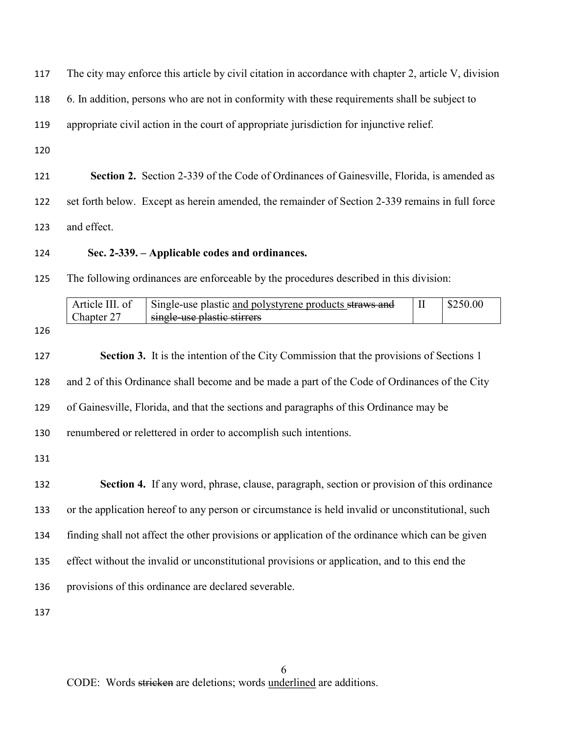| 117 | The city may enforce this article by civil citation in accordance with chapter 2, article V, division                  |          |          |  |  |  |  |  |  |
|-----|------------------------------------------------------------------------------------------------------------------------|----------|----------|--|--|--|--|--|--|
| 118 | 6. In addition, persons who are not in conformity with these requirements shall be subject to                          |          |          |  |  |  |  |  |  |
| 119 | appropriate civil action in the court of appropriate jurisdiction for injunctive relief.                               |          |          |  |  |  |  |  |  |
| 120 |                                                                                                                        |          |          |  |  |  |  |  |  |
| 121 | Section 2. Section 2-339 of the Code of Ordinances of Gainesville, Florida, is amended as                              |          |          |  |  |  |  |  |  |
| 122 | set forth below. Except as herein amended, the remainder of Section 2-339 remains in full force                        |          |          |  |  |  |  |  |  |
| 123 | and effect.                                                                                                            |          |          |  |  |  |  |  |  |
| 124 | Sec. 2-339. – Applicable codes and ordinances.                                                                         |          |          |  |  |  |  |  |  |
| 125 | The following ordinances are enforceable by the procedures described in this division:                                 |          |          |  |  |  |  |  |  |
|     | Article III. of<br>Single-use plastic and polystyrene products straws and<br>single-use plastic stirrers<br>Chapter 27 | $\rm II$ | \$250.00 |  |  |  |  |  |  |
| 126 |                                                                                                                        |          |          |  |  |  |  |  |  |
| 127 | Section 3. It is the intention of the City Commission that the provisions of Sections 1                                |          |          |  |  |  |  |  |  |
| 128 | and 2 of this Ordinance shall become and be made a part of the Code of Ordinances of the City                          |          |          |  |  |  |  |  |  |
| 129 | of Gainesville, Florida, and that the sections and paragraphs of this Ordinance may be                                 |          |          |  |  |  |  |  |  |
| 130 | renumbered or relettered in order to accomplish such intentions.                                                       |          |          |  |  |  |  |  |  |
| 131 |                                                                                                                        |          |          |  |  |  |  |  |  |
| 132 | <b>Section 4.</b> If any word, phrase, clause, paragraph, section or provision of this ordinance                       |          |          |  |  |  |  |  |  |
| 133 | or the application hereof to any person or circumstance is held invalid or unconstitutional, such                      |          |          |  |  |  |  |  |  |
| 134 | finding shall not affect the other provisions or application of the ordinance which can be given                       |          |          |  |  |  |  |  |  |
| 135 | effect without the invalid or unconstitutional provisions or application, and to this end the                          |          |          |  |  |  |  |  |  |
| 136 | provisions of this ordinance are declared severable.                                                                   |          |          |  |  |  |  |  |  |
| 137 |                                                                                                                        |          |          |  |  |  |  |  |  |
|     |                                                                                                                        |          |          |  |  |  |  |  |  |